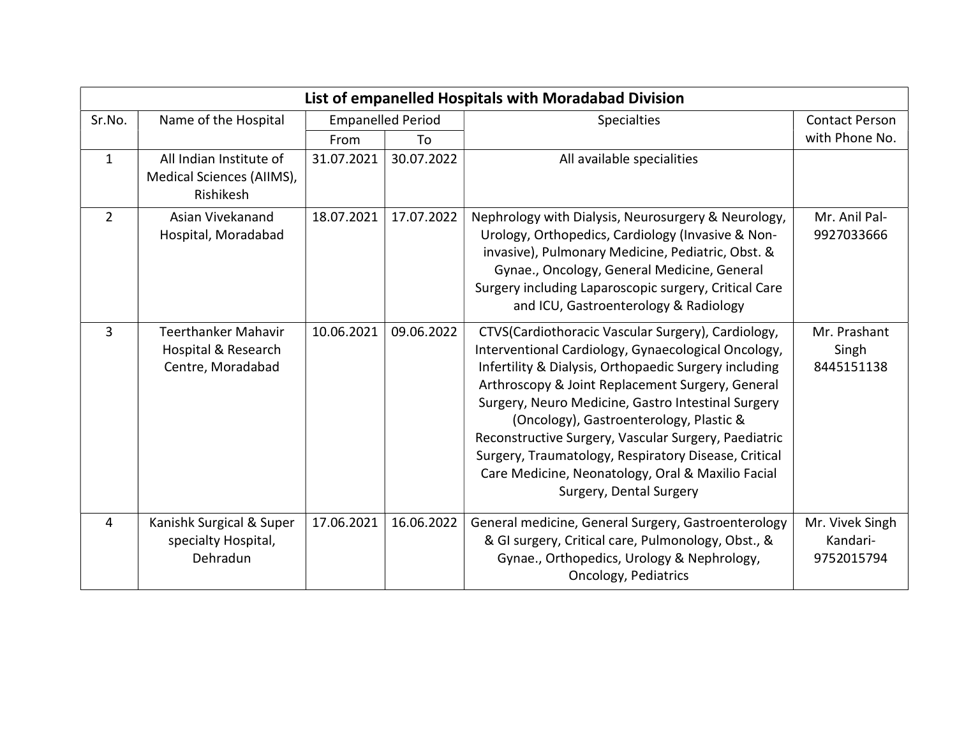| List of empanelled Hospitals with Moradabad Division |                                                                        |            |            |                                                                                                                                                                                                                                                                                                                                                                                                                                                                                                                         |                                           |  |
|------------------------------------------------------|------------------------------------------------------------------------|------------|------------|-------------------------------------------------------------------------------------------------------------------------------------------------------------------------------------------------------------------------------------------------------------------------------------------------------------------------------------------------------------------------------------------------------------------------------------------------------------------------------------------------------------------------|-------------------------------------------|--|
| Sr.No.                                               | <b>Empanelled Period</b><br>Name of the Hospital                       |            |            | <b>Specialties</b>                                                                                                                                                                                                                                                                                                                                                                                                                                                                                                      | <b>Contact Person</b>                     |  |
|                                                      |                                                                        | From       | To         |                                                                                                                                                                                                                                                                                                                                                                                                                                                                                                                         | with Phone No.                            |  |
| $\mathbf{1}$                                         | All Indian Institute of<br>Medical Sciences (AIIMS),<br>Rishikesh      | 31.07.2021 | 30.07.2022 | All available specialities                                                                                                                                                                                                                                                                                                                                                                                                                                                                                              |                                           |  |
| $\overline{2}$                                       | Asian Vivekanand<br>Hospital, Moradabad                                | 18.07.2021 | 17.07.2022 | Nephrology with Dialysis, Neurosurgery & Neurology,<br>Urology, Orthopedics, Cardiology (Invasive & Non-<br>invasive), Pulmonary Medicine, Pediatric, Obst. &<br>Gynae., Oncology, General Medicine, General<br>Surgery including Laparoscopic surgery, Critical Care<br>and ICU, Gastroenterology & Radiology                                                                                                                                                                                                          | Mr. Anil Pal-<br>9927033666               |  |
| 3                                                    | <b>Teerthanker Mahavir</b><br>Hospital & Research<br>Centre, Moradabad | 10.06.2021 | 09.06.2022 | CTVS(Cardiothoracic Vascular Surgery), Cardiology,<br>Interventional Cardiology, Gynaecological Oncology,<br>Infertility & Dialysis, Orthopaedic Surgery including<br>Arthroscopy & Joint Replacement Surgery, General<br>Surgery, Neuro Medicine, Gastro Intestinal Surgery<br>(Oncology), Gastroenterology, Plastic &<br>Reconstructive Surgery, Vascular Surgery, Paediatric<br>Surgery, Traumatology, Respiratory Disease, Critical<br>Care Medicine, Neonatology, Oral & Maxilio Facial<br>Surgery, Dental Surgery | Mr. Prashant<br>Singh<br>8445151138       |  |
| 4                                                    | Kanishk Surgical & Super<br>specialty Hospital,<br>Dehradun            | 17.06.2021 | 16.06.2022 | General medicine, General Surgery, Gastroenterology<br>& GI surgery, Critical care, Pulmonology, Obst., &<br>Gynae., Orthopedics, Urology & Nephrology,<br><b>Oncology, Pediatrics</b>                                                                                                                                                                                                                                                                                                                                  | Mr. Vivek Singh<br>Kandari-<br>9752015794 |  |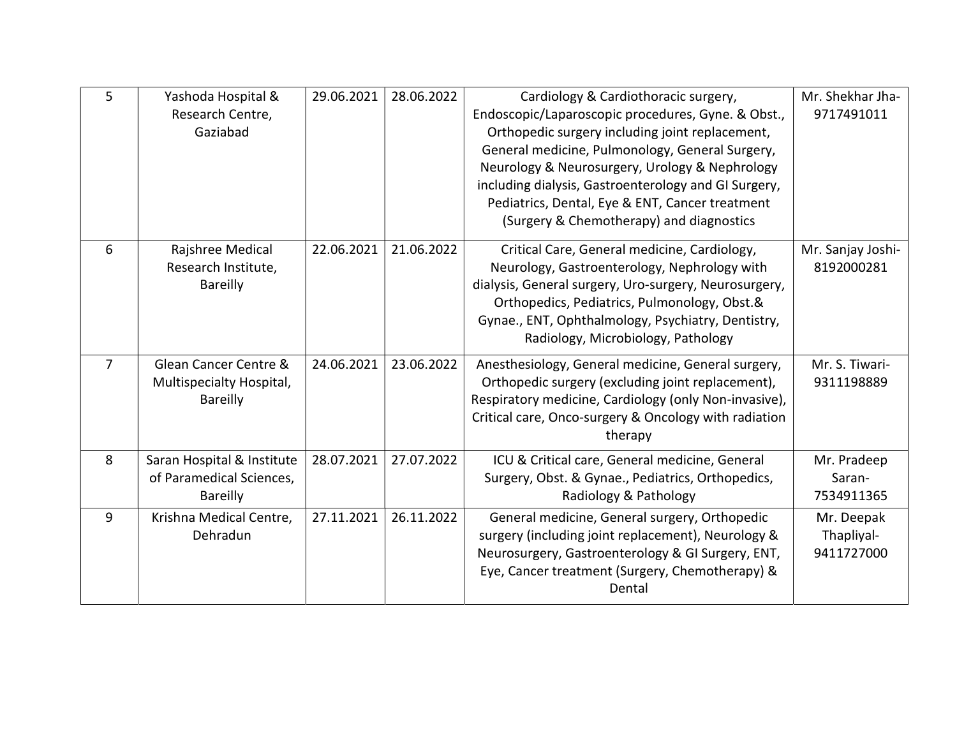| 5              | Yashoda Hospital &<br>Research Centre,<br>Gaziabad                        | 29.06.2021 | 28.06.2022 | Cardiology & Cardiothoracic surgery,<br>Endoscopic/Laparoscopic procedures, Gyne. & Obst.,<br>Orthopedic surgery including joint replacement,<br>General medicine, Pulmonology, General Surgery,<br>Neurology & Neurosurgery, Urology & Nephrology<br>including dialysis, Gastroenterology and GI Surgery,<br>Pediatrics, Dental, Eye & ENT, Cancer treatment<br>(Surgery & Chemotherapy) and diagnostics | Mr. Shekhar Jha-<br>9717491011         |
|----------------|---------------------------------------------------------------------------|------------|------------|-----------------------------------------------------------------------------------------------------------------------------------------------------------------------------------------------------------------------------------------------------------------------------------------------------------------------------------------------------------------------------------------------------------|----------------------------------------|
| 6              | Rajshree Medical<br>Research Institute,<br><b>Bareilly</b>                | 22.06.2021 | 21.06.2022 | Critical Care, General medicine, Cardiology,<br>Neurology, Gastroenterology, Nephrology with<br>dialysis, General surgery, Uro-surgery, Neurosurgery,<br>Orthopedics, Pediatrics, Pulmonology, Obst.&<br>Gynae., ENT, Ophthalmology, Psychiatry, Dentistry,<br>Radiology, Microbiology, Pathology                                                                                                         | Mr. Sanjay Joshi-<br>8192000281        |
| $\overline{7}$ | Glean Cancer Centre &<br>Multispecialty Hospital,<br><b>Bareilly</b>      | 24.06.2021 | 23.06.2022 | Anesthesiology, General medicine, General surgery,<br>Orthopedic surgery (excluding joint replacement),<br>Respiratory medicine, Cardiology (only Non-invasive),<br>Critical care, Onco-surgery & Oncology with radiation<br>therapy                                                                                                                                                                      | Mr. S. Tiwari-<br>9311198889           |
| 8              | Saran Hospital & Institute<br>of Paramedical Sciences,<br><b>Bareilly</b> | 28.07.2021 | 27.07.2022 | ICU & Critical care, General medicine, General<br>Surgery, Obst. & Gynae., Pediatrics, Orthopedics,<br>Radiology & Pathology                                                                                                                                                                                                                                                                              | Mr. Pradeep<br>Saran-<br>7534911365    |
| 9              | Krishna Medical Centre,<br>Dehradun                                       | 27.11.2021 | 26.11.2022 | General medicine, General surgery, Orthopedic<br>surgery (including joint replacement), Neurology &<br>Neurosurgery, Gastroenterology & GI Surgery, ENT,<br>Eye, Cancer treatment (Surgery, Chemotherapy) &<br>Dental                                                                                                                                                                                     | Mr. Deepak<br>Thapliyal-<br>9411727000 |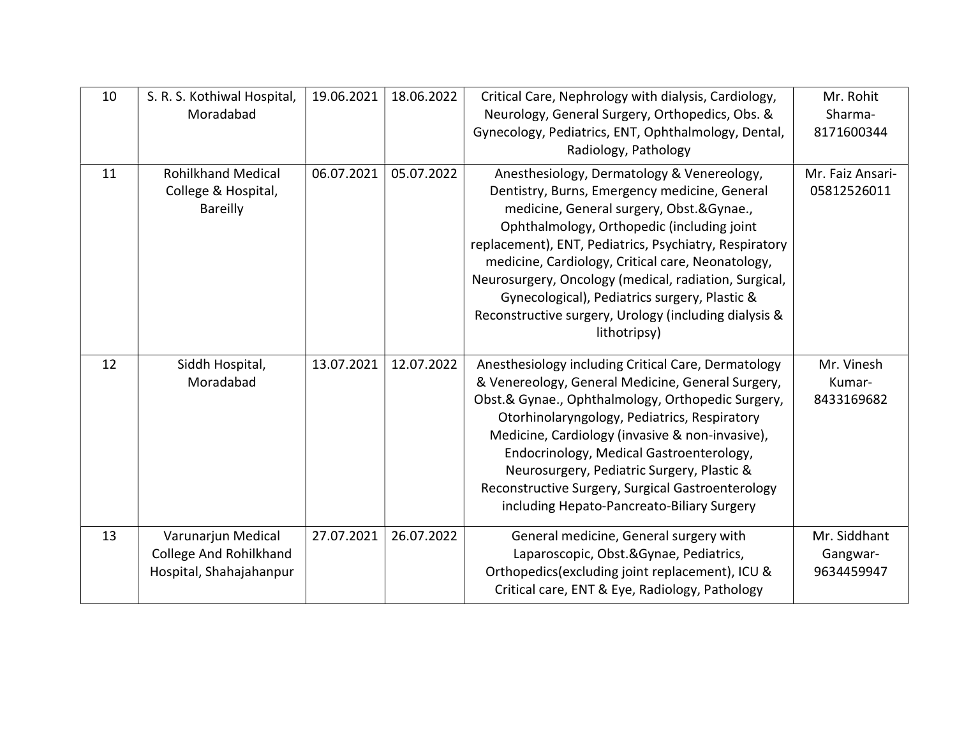| 10 | S. R. S. Kothiwal Hospital,<br>Moradabad                                       | 19.06.2021 | 18.06.2022 | Critical Care, Nephrology with dialysis, Cardiology,<br>Neurology, General Surgery, Orthopedics, Obs. &<br>Gynecology, Pediatrics, ENT, Ophthalmology, Dental,<br>Radiology, Pathology                                                                                                                                                                                                                                                                                                  | Mr. Rohit<br>Sharma-<br>8171600344     |
|----|--------------------------------------------------------------------------------|------------|------------|-----------------------------------------------------------------------------------------------------------------------------------------------------------------------------------------------------------------------------------------------------------------------------------------------------------------------------------------------------------------------------------------------------------------------------------------------------------------------------------------|----------------------------------------|
| 11 | <b>Rohilkhand Medical</b><br>College & Hospital,<br><b>Bareilly</b>            | 06.07.2021 | 05.07.2022 | Anesthesiology, Dermatology & Venereology,<br>Dentistry, Burns, Emergency medicine, General<br>medicine, General surgery, Obst.&Gynae.,<br>Ophthalmology, Orthopedic (including joint<br>replacement), ENT, Pediatrics, Psychiatry, Respiratory<br>medicine, Cardiology, Critical care, Neonatology,<br>Neurosurgery, Oncology (medical, radiation, Surgical,<br>Gynecological), Pediatrics surgery, Plastic &<br>Reconstructive surgery, Urology (including dialysis &<br>lithotripsy) | Mr. Faiz Ansari-<br>05812526011        |
| 12 | Siddh Hospital,<br>Moradabad                                                   | 13.07.2021 | 12.07.2022 | Anesthesiology including Critical Care, Dermatology<br>& Venereology, General Medicine, General Surgery,<br>Obst.& Gynae., Ophthalmology, Orthopedic Surgery,<br>Otorhinolaryngology, Pediatrics, Respiratory<br>Medicine, Cardiology (invasive & non-invasive),<br>Endocrinology, Medical Gastroenterology,<br>Neurosurgery, Pediatric Surgery, Plastic &<br>Reconstructive Surgery, Surgical Gastroenterology<br>including Hepato-Pancreato-Biliary Surgery                           | Mr. Vinesh<br>Kumar-<br>8433169682     |
| 13 | Varunarjun Medical<br><b>College And Rohilkhand</b><br>Hospital, Shahajahanpur | 27.07.2021 | 26.07.2022 | General medicine, General surgery with<br>Laparoscopic, Obst.&Gynae, Pediatrics,<br>Orthopedics (excluding joint replacement), ICU &<br>Critical care, ENT & Eye, Radiology, Pathology                                                                                                                                                                                                                                                                                                  | Mr. Siddhant<br>Gangwar-<br>9634459947 |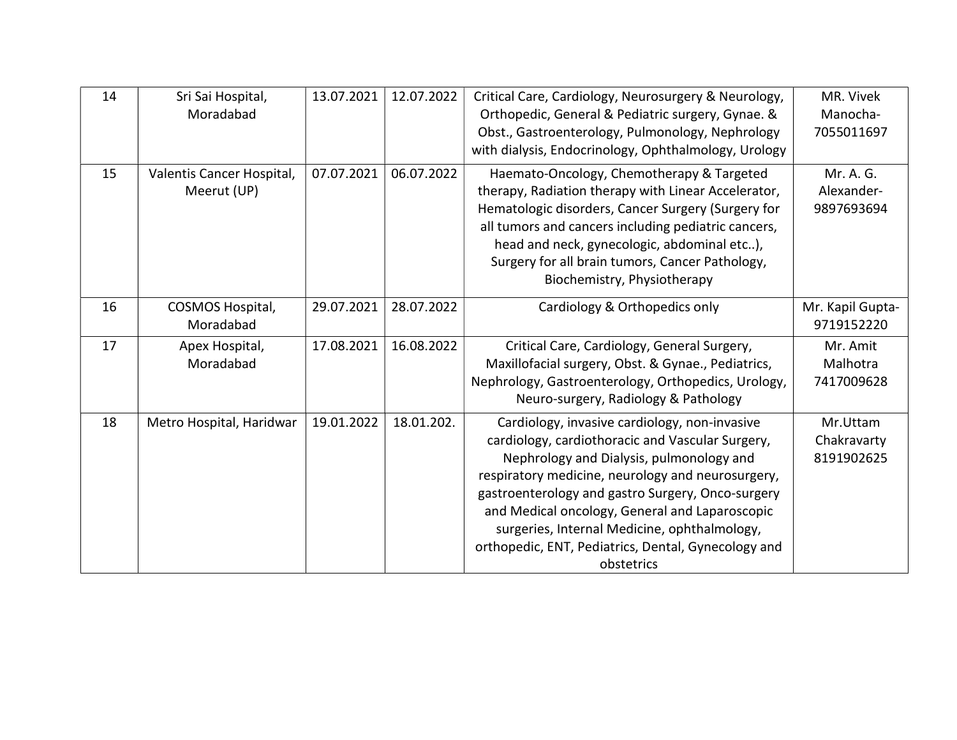| 14 | Sri Sai Hospital,<br>Moradabad           | 13.07.2021 | 12.07.2022 | Critical Care, Cardiology, Neurosurgery & Neurology,<br>Orthopedic, General & Pediatric surgery, Gynae. &<br>Obst., Gastroenterology, Pulmonology, Nephrology<br>with dialysis, Endocrinology, Ophthalmology, Urology                                                                                                                                                                                                          | MR. Vivek<br>Manocha-<br>7055011697   |
|----|------------------------------------------|------------|------------|--------------------------------------------------------------------------------------------------------------------------------------------------------------------------------------------------------------------------------------------------------------------------------------------------------------------------------------------------------------------------------------------------------------------------------|---------------------------------------|
| 15 | Valentis Cancer Hospital,<br>Meerut (UP) | 07.07.2021 | 06.07.2022 | Haemato-Oncology, Chemotherapy & Targeted<br>therapy, Radiation therapy with Linear Accelerator,<br>Hematologic disorders, Cancer Surgery (Surgery for<br>all tumors and cancers including pediatric cancers,<br>head and neck, gynecologic, abdominal etc),<br>Surgery for all brain tumors, Cancer Pathology,<br>Biochemistry, Physiotherapy                                                                                 | Mr. A. G.<br>Alexander-<br>9897693694 |
| 16 | COSMOS Hospital,<br>Moradabad            | 29.07.2021 | 28.07.2022 | Cardiology & Orthopedics only                                                                                                                                                                                                                                                                                                                                                                                                  | Mr. Kapil Gupta-<br>9719152220        |
| 17 | Apex Hospital,<br>Moradabad              | 17.08.2021 | 16.08.2022 | Critical Care, Cardiology, General Surgery,<br>Maxillofacial surgery, Obst. & Gynae., Pediatrics,<br>Nephrology, Gastroenterology, Orthopedics, Urology,<br>Neuro-surgery, Radiology & Pathology                                                                                                                                                                                                                               | Mr. Amit<br>Malhotra<br>7417009628    |
| 18 | Metro Hospital, Haridwar                 | 19.01.2022 | 18.01.202. | Cardiology, invasive cardiology, non-invasive<br>cardiology, cardiothoracic and Vascular Surgery,<br>Nephrology and Dialysis, pulmonology and<br>respiratory medicine, neurology and neurosurgery,<br>gastroenterology and gastro Surgery, Onco-surgery<br>and Medical oncology, General and Laparoscopic<br>surgeries, Internal Medicine, ophthalmology,<br>orthopedic, ENT, Pediatrics, Dental, Gynecology and<br>obstetrics | Mr.Uttam<br>Chakravarty<br>8191902625 |